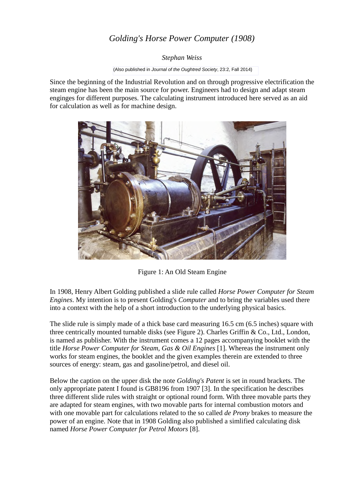# *Golding's Horse Power Computer (1908)*

*Stephan Weiss*

(Also published in *Journal of the Oughtred Society*, 23:2, Fall 2014)

Since the beginning of the Industrial Revolution and on through progressive electrification the steam engine has been the main source for power. Engineers had to design and adapt steam enginges for different purposes. The calculating instrument introduced here served as an aid for calculation as well as for machine design.



Figure 1: An Old Steam Engine

In 1908, Henry Albert Golding published a slide rule called *Horse Power Computer for Steam Engines*. My intention is to present Golding's *Computer* and to bring the variables used there into a context with the help of a short introduction to the underlying physical basics.

The slide rule is simply made of a thick base card measuring  $16.5 \text{ cm}$  (6.5 inches) square with three centrically mounted turnable disks (see Figure 2). Charles Griffin & Co., Ltd., London, is named as publisher. With the instrument comes a 12 pages accompanying booklet with the title *Horse Power Computer for Steam, Gas & Oil Engines* [1]. Whereas the instrument only works for steam engines, the booklet and the given examples therein are extended to three sources of energy: steam, gas and gasoline/petrol, and diesel oil.

Below the caption on the upper disk the note *Golding's Patent* is set in round brackets. The only appropriate patent I found is GB8196 from 1907 [3]. In the specification he describes three different slide rules with straight or optional round form. With three movable parts they are adapted for steam engines, with two movable parts for internal combustion motors and with one movable part for calculations related to the so called *de Prony* brakes to measure the power of an engine. Note that in 1908 Golding also published a simlified calculating disk named *Horse Power Computer for Petrol Motors* [8].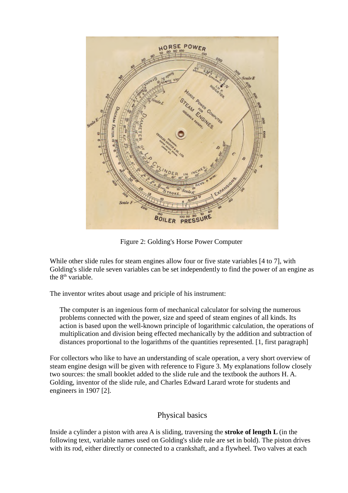

Figure 2: Golding's Horse Power Computer

While other slide rules for steam engines allow four or five state variables [4 to 7], with Golding's slide rule seven variables can be set independently to find the power of an engine as the  $8<sup>th</sup>$  variable.

The inventor writes about usage and priciple of his instrument:

The computer is an ingenious form of mechanical calculator for solving the numerous problems connected with the power, size and speed of steam engines of all kinds. Its action is based upon the well-known principle of logarithmic calculation, the operations of multiplication and division being effected mechanically by the addition and subtraction of distances proportional to the logarithms of the quantities represented. [1, first paragraph]

For collectors who like to have an understanding of scale operation, a very short overview of steam engine design will be given with reference to Figure 3. My explanations follow closely two sources: the small booklet added to the slide rule and the textbook the authors H. A. Golding, inventor of the slide rule, and Charles Edward Larard wrote for students and engineers in 1907 [2].

### Physical basics

Inside a cylinder a piston with area A is sliding, traversing the **stroke of length L** (in the following text, variable names used on Golding's slide rule are set in bold). The piston drives with its rod, either directly or connected to a crankshaft, and a flywheel. Two valves at each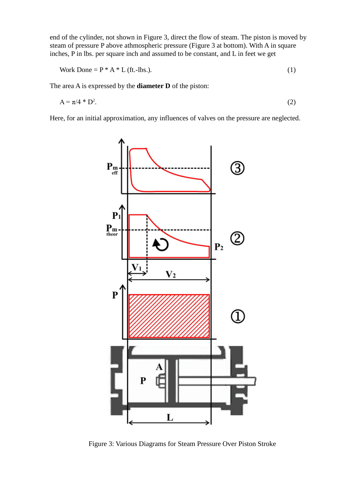end of the cylinder, not shown in Figure 3, direct the flow of steam. The piston is moved by steam of pressure P above athmospheric pressure (Figure 3 at bottom). With A in square inches, P in lbs. per square inch and assumed to be constant, and L in feet we get

Work Done = 
$$
P * A * L
$$
 (ft.-lbs.). (1)

The area A is expressed by the **diameter D** of the piston:

$$
A = \pi/4 * D^2. \tag{2}
$$

Here, for an initial approximation, any influences of valves on the pressure are neglected.



Figure 3: Various Diagrams for Steam Pressure Over Piston Stroke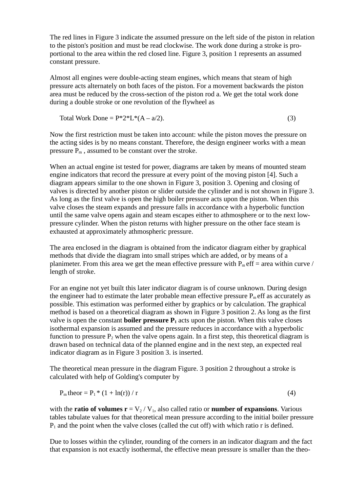The red lines in Figure 3 indicate the assumed pressure on the left side of the piston in relation to the piston's position and must be read clockwise. The work done during a stroke is proportional to the area within the red closed line. Figure 3, position 1 represents an assumed constant pressure.

Almost all engines were double-acting steam engines, which means that steam of high pressure acts alternately on both faces of the piston. For a movement backwards the piston area must be reduced by the cross-section of the piston rod a. We get the total work done during a double stroke or one revolution of the flywheel as

$$
Total Work Done = P*2*L*(A - a/2).
$$
\n(3)

Now the first restriction must be taken into account: while the piston moves the pressure on the acting sides is by no means constant. Therefore, the design engineer works with a mean pressure  $P_m$ , assumed to be constant over the stroke.

When an actual engine ist tested for power, diagrams are taken by means of mounted steam engine indicators that record the pressure at every point of the moving piston [4]. Such a diagram appears similar to the one shown in Figure 3, position 3. Opening and closing of valves is directed by another piston or slider outside the cylinder and is not shown in Figure 3. As long as the first valve is open the high boiler pressure acts upon the piston. When this valve closes the steam expands and pressure falls in accordance with a hyperbolic function until the same valve opens again and steam escapes either to athmosphere or to the next lowpressure cylinder. When the piston returns with higher pressure on the other face steam is exhausted at approximately athmospheric pressure.

The area enclosed in the diagram is obtained from the indicator diagram either by graphical methods that divide the diagram into small stripes which are added, or by means of a planimeter. From this area we get the mean effective pressure with  $P_m$  eff = area within curve / length of stroke.

For an engine not yet built this later indicator diagram is of course unknown. During design the engineer had to estimate the later probable mean effective pressure  $P_m$  eff as accurately as possible. This estimation was performed either by graphics or by calculation. The graphical method is based on a theoretical diagram as shown in Figure 3 position 2. As long as the first valve is open the constant **boiler pressure**  $P_1$  acts upon the piston. When this valve closes isothermal expansion is assumed and the pressure reduces in accordance with a hyperbolic function to pressure  $P_2$  when the valve opens again. In a first step, this theoretical diagram is drawn based on technical data of the planned engine and in the next step, an expected real indicator diagram as in Figure 3 position 3. is inserted.

The theoretical mean pressure in the diagram Figure. 3 position 2 throughout a stroke is calculated with help of Golding's computer by

$$
P_m \text{theor} = P_1 * (1 + \ln(r)) / r \tag{4}
$$

with the **ratio of volumes**  $\mathbf{r} = V_2 / V_1$ , also called ratio or **number of expansions**. Various tables tabulate values for that theoretical mean pressure according to the initial boiler pressure  $P_1$  and the point when the valve closes (called the cut off) with which ratio r is defined.

Due to losses within the cylinder, rounding of the corners in an indicator diagram and the fact that expansion is not exactly isothermal, the effective mean pressure is smaller than the theo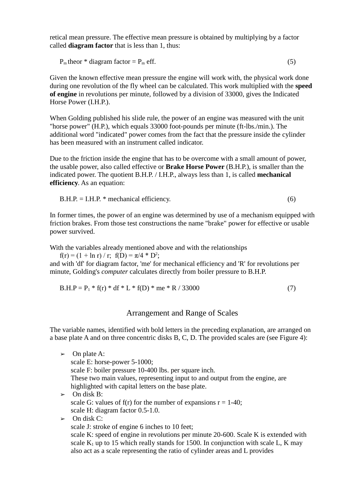retical mean pressure. The effective mean pressure is obtained by multiplying by a factor called **diagram factor** that is less than 1, thus:

 $P_m$  theor \* diagram factor =  $P_m$  eff. (5)

Given the known effective mean pressure the engine will work with, the physical work done during one revolution of the fly wheel can be calculated. This work multiplied with the **speed of engine** in revolutions per minute, followed by a division of 33000, gives the Indicated Horse Power (I.H.P.).

When Golding published his slide rule, the power of an engine was measured with the unit "horse power" (H.P.), which equals 33000 foot-pounds per minute (ft-lbs./min.). The additional word "indicated" power comes from the fact that the pressure inside the cylinder has been measured with an instrument called indicator.

Due to the friction inside the engine that has to be overcome with a small amount of power, the usable power, also called effective or **Brake Horse Power** (B.H.P.), is smaller than the indicated power. The quotient B.H.P. / I.H.P., always less than 1, is called **mechanical efficiency**. As an equation:

$$
B.H.P. = I.H.P. * mechanical efficiency.
$$
\n
$$
(6)
$$

In former times, the power of an engine was determined by use of a mechanism equipped with friction brakes. From those test constructions the name "brake" power for effective or usable power survived.

With the variables already mentioned above and with the relationships

 $f(r) = (1 + \ln r) / r$ ;  $f(D) = \pi/4 * D^2$ ; and with 'df' for diagram factor, 'me' for mechanical efficiency and 'R' for revolutions per minute, Golding's *computer* calculates directly from boiler pressure to B.H.P.

$$
B.H.P = P1 * f(r) * df * L * f(D) * me * R / 33000
$$
 (7)

### Arrangement and Range of Scales

The variable names, identified with bold letters in the preceding explanation, are arranged on a base plate A and on three concentric disks B, C, D. The provided scales are (see Figure 4):

 $\triangleright$  On plate A: scale E: horse-power 5-1000; scale F: boiler pressure 10-400 lbs. per square inch. These two main values, representing input to and output from the engine, are highlighted with capital letters on the base plate.  $\geq$  On disk B: scale G: values of f(r) for the number of expansions  $r = 1-40$ ; scale H: diagram factor 0.5-1.0.  $\triangleright$  On disk C: scale J: stroke of engine 6 inches to 10 feet; scale K: speed of engine in revolutions per minute 20-600. Scale K is extended with scale  $K_1$  up to 15 which really stands for 1500. In conjunction with scale L, K may

also act as a scale representing the ratio of cylinder areas and L provides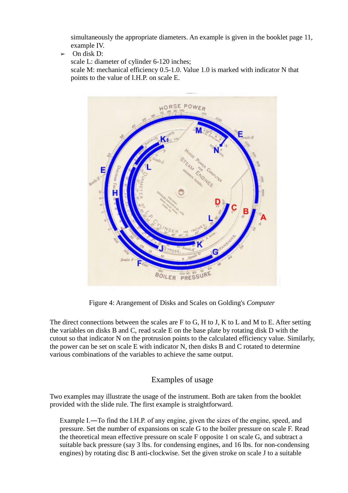simultaneously the appropriate diameters. An example is given in the booklet page 11, example IV.

 $\geq$  On disk D:

scale L: diameter of cylinder 6-120 inches;

scale M: mechanical efficiency 0.5-1.0. Value 1.0 is marked with indicator N that points to the value of I.H.P. on scale E.



Figure 4: Arangement of Disks and Scales on Golding's *Computer*

The direct connections between the scales are F to G, H to J, K to L and M to E. After setting the variables on disks B and C, read scale E on the base plate by rotating disk D with the cutout so that indicator N on the protrusion points to the calculated efficiency value. Similarly, the power can be set on scale E with indicator N, then disks B and C rotated to determine various combinations of the variables to achieve the same output.

## Examples of usage

Two examples may illustrate the usage of the instrument. Both are taken from the booklet provided with the slide rule. The first example is straightforward.

Example I.―To find the I.H.P. of any engine, given the sizes of the engine, speed, and pressure. Set the number of expansions on scale G to the boiler pressure on scale F. Read the theoretical mean effective pressure on scale F opposite 1 on scale G, and subtract a suitable back pressure (say 3 lbs. for condensing engines, and 16 lbs. for non-condensing engines) by rotating disc B anti-clockwise. Set the given stroke on scale J to a suitable